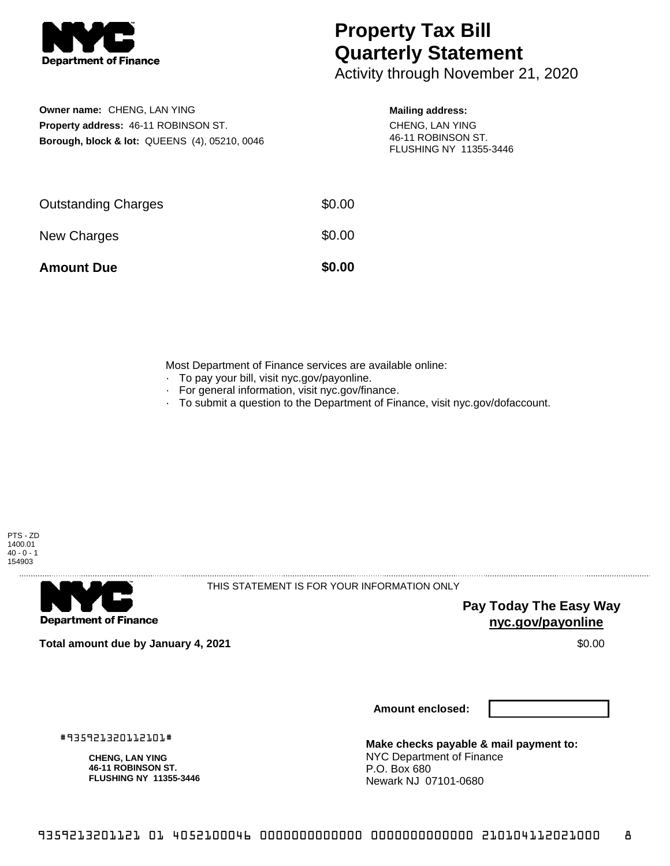

# **Property Tax Bill Quarterly Statement**

Activity through November 21, 2020

## **Owner name:** CHENG, LAN YING **Property address:** 46-11 ROBINSON ST. **Borough, block & lot:** QUEENS (4), 05210, 0046

### **Mailing address:**

CHENG, LAN YING 46-11 ROBINSON ST. FLUSHING NY 11355-3446

| <b>Amount Due</b>          | \$0.00 |
|----------------------------|--------|
| New Charges                | \$0.00 |
| <b>Outstanding Charges</b> | \$0.00 |

Most Department of Finance services are available online:

- · To pay your bill, visit nyc.gov/payonline.
- For general information, visit nyc.gov/finance.
- · To submit a question to the Department of Finance, visit nyc.gov/dofaccount.



**Department of Finance** 

THIS STATEMENT IS FOR YOUR INFORMATION ONLY

**Pay Today The Easy Way nyc.gov/payonline**

**Total amount due by January 4, 2021** \$0.00

**Amount enclosed:**

#935921320112101#

**CHENG, LAN YING 46-11 ROBINSON ST. FLUSHING NY 11355-3446**

**Make checks payable & mail payment to:** NYC Department of Finance P.O. Box 680 Newark NJ 07101-0680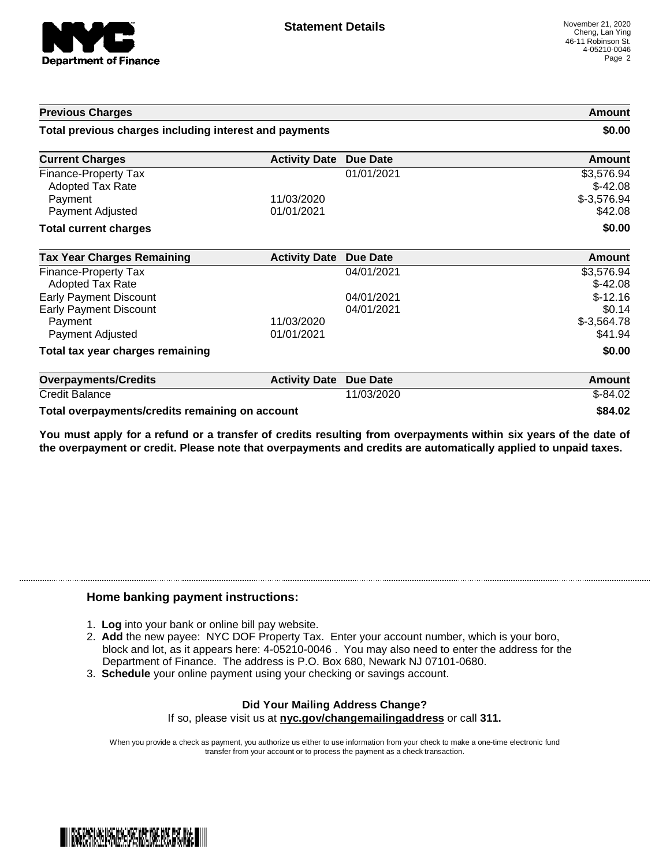

| <b>Previous Charges</b><br>Total previous charges including interest and payments |                          | Amount<br>\$0.00 |                                         |
|-----------------------------------------------------------------------------------|--------------------------|------------------|-----------------------------------------|
|                                                                                   |                          |                  | <b>Current Charges</b>                  |
| Finance-Property Tax<br><b>Adopted Tax Rate</b><br>Payment                        | 11/03/2020               | 01/01/2021       | \$3,576.94<br>$$-42.08$<br>$$-3,576.94$ |
| Payment Adjusted                                                                  | 01/01/2021               |                  | \$42.08                                 |
| <b>Total current charges</b>                                                      |                          |                  | \$0.00                                  |
| <b>Tax Year Charges Remaining</b>                                                 | <b>Activity Date</b>     | <b>Due Date</b>  | <b>Amount</b>                           |
| Finance-Property Tax<br>Adopted Tax Rate                                          |                          | 04/01/2021       | \$3,576.94<br>$$-42.08$                 |
| <b>Early Payment Discount</b>                                                     |                          | 04/01/2021       | $$-12.16$                               |
| <b>Early Payment Discount</b><br>Payment<br>Payment Adjusted                      | 11/03/2020<br>01/01/2021 | 04/01/2021       | \$0.14<br>$$-3,564.78$<br>\$41.94       |
| Total tax year charges remaining                                                  |                          |                  | \$0.00                                  |
| <b>Overpayments/Credits</b>                                                       | <b>Activity Date</b>     | <b>Due Date</b>  | Amount                                  |
| <b>Credit Balance</b>                                                             |                          | 11/03/2020       | $$-84.02$                               |

**Total overpayments/credits remaining on account \$84.02**

You must apply for a refund or a transfer of credits resulting from overpayments within six years of the date of **the overpayment or credit. Please note that overpayments and credits are automatically applied to unpaid taxes.**

### **Home banking payment instructions:**

- 1. **Log** into your bank or online bill pay website.
- 2. **Add** the new payee: NYC DOF Property Tax. Enter your account number, which is your boro, block and lot, as it appears here: 4-05210-0046 . You may also need to enter the address for the Department of Finance. The address is P.O. Box 680, Newark NJ 07101-0680.
- 3. **Schedule** your online payment using your checking or savings account.

#### **Did Your Mailing Address Change?** If so, please visit us at **nyc.gov/changemailingaddress** or call **311.**

When you provide a check as payment, you authorize us either to use information from your check to make a one-time electronic fund transfer from your account or to process the payment as a check transaction.